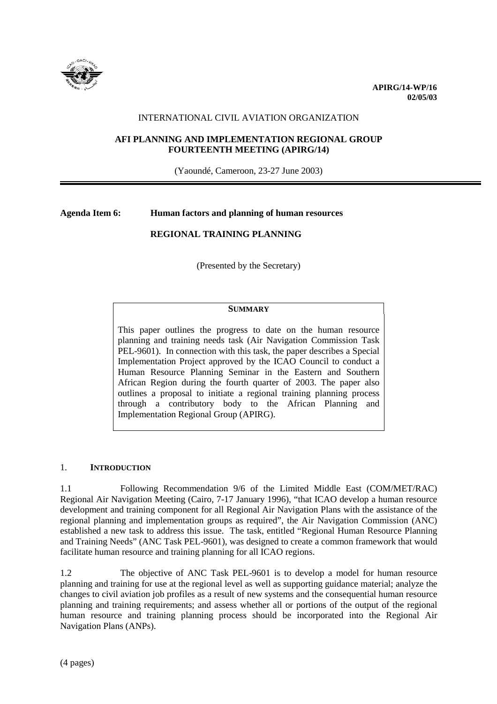

## INTERNATIONAL CIVIL AVIATION ORGANIZATION

## **AFI PLANNING AND IMPLEMENTATION REGIONAL GROUP FOURTEENTH MEETING (APIRG/14)**

(Yaoundé, Cameroon, 23-27 June 2003)

# **Agenda Item 6: Human factors and planning of human resources**

# **REGIONAL TRAINING PLANNING**

(Presented by the Secretary)

## **SUMMARY**

This paper outlines the progress to date on the human resource planning and training needs task (Air Navigation Commission Task PEL-9601). In connection with this task, the paper describes a Special Implementation Project approved by the ICAO Council to conduct a Human Resource Planning Seminar in the Eastern and Southern African Region during the fourth quarter of 2003. The paper also outlines a proposal to initiate a regional training planning process through a contributory body to the African Planning and Implementation Regional Group (APIRG).

#### 1. **INTRODUCTION**

1.1 Following Recommendation 9/6 of the Limited Middle East (COM/MET/RAC) Regional Air Navigation Meeting (Cairo, 7-17 January 1996), "that ICAO develop a human resource development and training component for all Regional Air Navigation Plans with the assistance of the regional planning and implementation groups as required", the Air Navigation Commission (ANC) established a new task to address this issue. The task, entitled "Regional Human Resource Planning and Training Needs" (ANC Task PEL-9601), was designed to create a common framework that would facilitate human resource and training planning for all ICAO regions.

1.2 The objective of ANC Task PEL-9601 is to develop a model for human resource planning and training for use at the regional level as well as supporting guidance material; analyze the changes to civil aviation job profiles as a result of new systems and the consequential human resource planning and training requirements; and assess whether all or portions of the output of the regional human resource and training planning process should be incorporated into the Regional Air Navigation Plans (ANPs).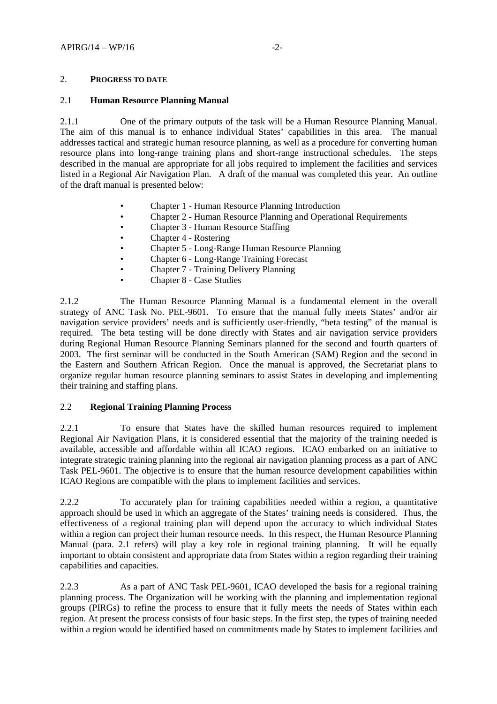## 2. **PROGRESS TO DATE**

## 2.1 **Human Resource Planning Manual**

2.1.1 One of the primary outputs of the task will be a Human Resource Planning Manual. The aim of this manual is to enhance individual States' capabilities in this area. The manual addresses tactical and strategic human resource planning, as well as a procedure for converting human resource plans into long-range training plans and short-range instructional schedules. The steps described in the manual are appropriate for all jobs required to implement the facilities and services listed in a Regional Air Navigation Plan. A draft of the manual was completed this year. An outline of the draft manual is presented below:

- Chapter 1 Human Resource Planning Introduction
- Chapter 2 Human Resource Planning and Operational Requirements
- Chapter 3 Human Resource Staffing
- Chapter 4 Rostering
- Chapter 5 Long-Range Human Resource Planning
- Chapter 6 Long-Range Training Forecast
- Chapter 7 Training Delivery Planning
- Chapter 8 Case Studies

2.1.2 The Human Resource Planning Manual is a fundamental element in the overall strategy of ANC Task No. PEL-9601. To ensure that the manual fully meets States' and/or air navigation service providers' needs and is sufficiently user-friendly, "beta testing" of the manual is required. The beta testing will be done directly with States and air navigation service providers during Regional Human Resource Planning Seminars planned for the second and fourth quarters of 2003. The first seminar will be conducted in the South American (SAM) Region and the second in the Eastern and Southern African Region. Once the manual is approved, the Secretariat plans to organize regular human resource planning seminars to assist States in developing and implementing their training and staffing plans.

## 2.2 **Regional Training Planning Process**

2.2.1 To ensure that States have the skilled human resources required to implement Regional Air Navigation Plans, it is considered essential that the majority of the training needed is available, accessible and affordable within all ICAO regions. ICAO embarked on an initiative to integrate strategic training planning into the regional air navigation planning process as a part of ANC Task PEL-9601. The objective is to ensure that the human resource development capabilities within ICAO Regions are compatible with the plans to implement facilities and services.

2.2.2 To accurately plan for training capabilities needed within a region, a quantitative approach should be used in which an aggregate of the States' training needs is considered. Thus, the effectiveness of a regional training plan will depend upon the accuracy to which individual States within a region can project their human resource needs. In this respect, the Human Resource Planning Manual (para. 2.1 refers) will play a key role in regional training planning. It will be equally important to obtain consistent and appropriate data from States within a region regarding their training capabilities and capacities.

2.2.3 As a part of ANC Task PEL-9601, ICAO developed the basis for a regional training planning process. The Organization will be working with the planning and implementation regional groups (PIRGs) to refine the process to ensure that it fully meets the needs of States within each region. At present the process consists of four basic steps. In the first step, the types of training needed within a region would be identified based on commitments made by States to implement facilities and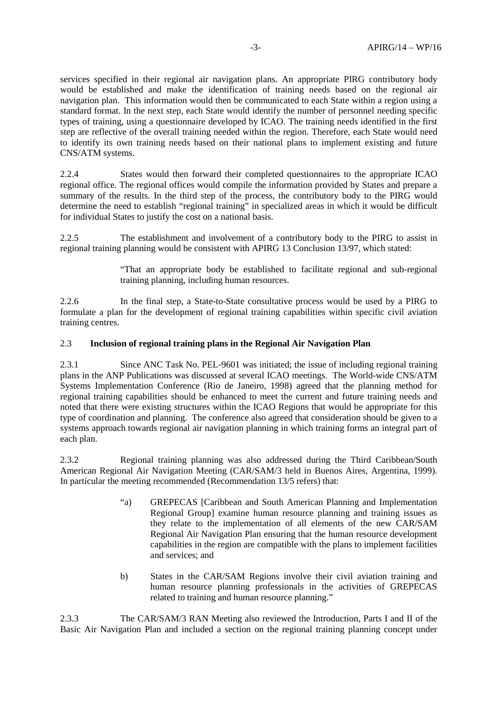services specified in their regional air navigation plans. An appropriate PIRG contributory body would be established and make the identification of training needs based on the regional air navigation plan. This information would then be communicated to each State within a region using a standard format. In the next step, each State would identify the number of personnel needing specific types of training, using a questionnaire developed by ICAO. The training needs identified in the first step are reflective of the overall training needed within the region. Therefore, each State would need to identify its own training needs based on their national plans to implement existing and future CNS/ATM systems.

2.2.4 States would then forward their completed questionnaires to the appropriate ICAO regional office. The regional offices would compile the information provided by States and prepare a summary of the results. In the third step of the process, the contributory body to the PIRG would determine the need to establish "regional training" in specialized areas in which it would be difficult for individual States to justify the cost on a national basis.

2.2.5 The establishment and involvement of a contributory body to the PIRG to assist in regional training planning would be consistent with APIRG 13 Conclusion 13/97, which stated:

> "That an appropriate body be established to facilitate regional and sub-regional training planning, including human resources.

2.2.6 In the final step, a State-to-State consultative process would be used by a PIRG to formulate a plan for the development of regional training capabilities within specific civil aviation training centres.

#### 2.3 **Inclusion of regional training plans in the Regional Air Navigation Plan**

2.3.1 Since ANC Task No. PEL-9601 was initiated; the issue of including regional training plans in the ANP Publications was discussed at several ICAO meetings. The World-wide CNS/ATM Systems Implementation Conference (Rio de Janeiro, 1998) agreed that the planning method for regional training capabilities should be enhanced to meet the current and future training needs and noted that there were existing structures within the ICAO Regions that would be appropriate for this type of coordination and planning. The conference also agreed that consideration should be given to a systems approach towards regional air navigation planning in which training forms an integral part of each plan.

2.3.2 Regional training planning was also addressed during the Third Caribbean/South American Regional Air Navigation Meeting (CAR/SAM/3 held in Buenos Aires, Argentina, 1999). In particular the meeting recommended (Recommendation 13/5 refers) that:

- "a) GREPECAS [Caribbean and South American Planning and Implementation Regional Group] examine human resource planning and training issues as they relate to the implementation of all elements of the new CAR/SAM Regional Air Navigation Plan ensuring that the human resource development capabilities in the region are compatible with the plans to implement facilities and services; and
- b) States in the CAR/SAM Regions involve their civil aviation training and human resource planning professionals in the activities of GREPECAS related to training and human resource planning."

2.3.3 The CAR/SAM/3 RAN Meeting also reviewed the Introduction, Parts I and II of the Basic Air Navigation Plan and included a section on the regional training planning concept under